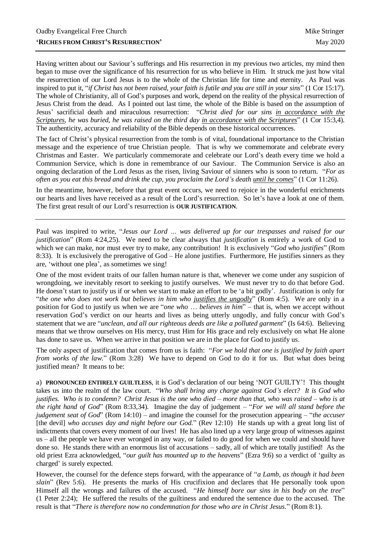Having written about our Saviour's sufferings and His resurrection in my previous two articles, my mind then began to muse over the significance of his resurrection for us who believe in Him. It struck me just how vital the resurrection of our Lord Jesus is to the whole of the Christian life for time and eternity. As Paul was inspired to put it, "*if Christ has not been raised, your faith is futile and you are still in your sins*" (1 Cor 15:17). The whole of Christianity, all of God's purposes and work, depend on the reality of the physical resurrection of Jesus Christ from the dead. As I pointed out last time, the whole of the Bible is based on the assumption of Jesus' sacrificial death and miraculous resurrection: "*Christ died for our sins in accordance with the Scriptures, he was buried, he was raised on the third day in accordance with the Scriptures*" (1 Cor 15:3,4). The authenticity, accuracy and reliability of the Bible depends on these historical occurrences.

The fact of Christ's physical resurrection from the tomb is of vital, foundational importance to the Christian message and the experience of true Christian people. That is why we commemorate and celebrate every Christmas and Easter. We particularly commemorate and celebrate our Lord's death every time we hold a Communion Service, which is done in remembrance of our Saviour. The Communion Service is also an ongoing declaration of the Lord Jesus as the risen, living Saviour of sinners who is soon to return. "*For as often as you eat this bread and drink the cup, you proclaim the Lord's death until he comes*" (1 Cor 11:26).

In the meantime, however, before that great event occurs, we need to rejoice in the wonderful enrichments our hearts and lives have received as a result of the Lord's resurrection. So let's have a look at one of them. The first great result of our Lord's resurrection is **OUR JUSTIFICATION**.

Paul was inspired to write, "*Jesus our Lord … was delivered up for our trespasses and raised for our justification*" (Rom 4:24,25). We need to be clear always that *justification* is entirely a work of God to which we can make, nor must ever try to make, any contribution! It is exclusively "*God who justifies*" (Rom 8:33). It is exclusively the prerogative of God – He alone justifies. Furthermore, He justifies sinners as they are, 'without one plea', as sometimes we sing!

One of the most evident traits of our fallen human nature is that, whenever we come under any suspicion of wrongdoing, we inevitably resort to seeking to justify ourselves. We must never try to do that before God. He doesn't start to justify us if or when we start to make an effort to be 'a bit godly'. Justification is only for "*the one who does not work but believes in him who justifies the ungodly*" (Rom 4:5). We are only in a position for God to justify us when we are "*one who* … *believes in him*" – that is, when we accept without reservation God's verdict on our hearts and lives as being utterly ungodly, and fully concur with God's statement that we are "*unclean, and all our righteous deeds are like a polluted garment*" (Is 64:6). Believing means that we throw ourselves on His mercy, trust Him for His grace and rely exclusively on what He alone has done to save us. When we arrive in that position we are in the place for God to justify us.

The only aspect of justification that comes from us is faith: "*For we hold that one is justified by faith apart from works of the law.*" (Rom 3:28) We have to depend on God to do it for us. But what does being justified mean? It means to be:

a) **PRONOUNCED ENTIRELY GUILTLESS**, it is God's declaration of our being 'NOT GUILTY'! This thought takes us into the realm of the law court. "*Who shall bring any charge against God's elect? It is God who justifies. Who is to condemn? Christ Jesus is the one who died – more than that, who was raised – who is at the right hand of God*" (Rom 8:33,34). Imagine the day of judgement – "*For we will all stand before the judgement seat of God*" (Rom 14:10) – and imagine the counsel for the prosecution appearing – "*the accuser* [the devil] *who accuses day and night before our God.*" (Rev 12:10) He stands up with a great long list of indictments that covers every moment of our lives! He has also lined up a very large group of witnesses against us – all the people we have ever wronged in any way, or failed to do good for when we could and should have done so. He stands there with an enormous list of accusations – sadly, all of which are totally justified! As the old priest Ezra acknowledged, "*our guilt has mounted up to the heavens*" (Ezra 9:6) so a verdict of 'guilty as charged' is surely expected.

However, the counsel for the defence steps forward, with the appearance of "*a Lamb, as though it had been slain*" (Rev 5:6). He presents the marks of His crucifixion and declares that He personally took upon Himself all the wrongs and failures of the accused. "*He himself bore our sins in his body on the tree*" (1 Peter 2:24); He suffered the results of the guiltiness and endured the sentence due to the accused. The result is that "*There is therefore now no condemnation for those who are in Christ Jesus.*" (Rom 8:1).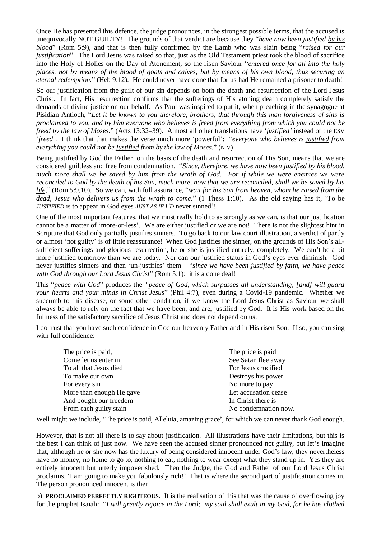Once He has presented this defence, the judge pronounces, in the strongest possible terms, that the accused is unequivocally NOT GUILTY! The grounds of that verdict are because they "*have now been justified by his blood*" (Rom 5:9), and that is then fully confirmed by the Lamb who was slain being "*raised for our justification*". The Lord Jesus was raised so that, just as the Old Testament priest took the blood of sacrifice into the Holy of Holies on the Day of Atonement, so the risen Saviour "*entered once for all into the holy places, not by means of the blood of goats and calves, but by means of his own blood, thus securing an eternal redemption.*" (Heb 9:12). He could never have done that for us had He remained a prisoner to death!

So our justification from the guilt of our sin depends on both the death and resurrection of the Lord Jesus Christ. In fact, His resurrection confirms that the sufferings of His atoning death completely satisfy the demands of divine justice on our behalf. As Paul was inspired to put it, when preaching in the synagogue at Pisidian Antioch, "*Let it be known to you therefore, brothers, that through this man forgiveness of sins is proclaimed to you, and by him everyone who believes is freed from everything from which you could not be freed by the law of Moses.*" (Acts 13:32–39). Almost all other translations have '*justified'* instead of the ESV '*freed'*. I think that that makes the verse much more 'powerful': "*everyone who believes is justified from everything you could not be justified from by the law of Moses.*" (NIV)

Being justified by God the Father, on the basis of the death and resurrection of His Son, means that we are considered guiltless and free from condemnation. "*Since, therefore, we have now been justified by his blood, much more shall we be saved by him from the wrath of God. For if while we were enemies we were reconciled to God by the death of his Son, much more, now that we are reconciled, shall we be saved by his life,*" (Rom 5:9,10). So we can, with full assurance, "*wait for his Son from heaven, whom he raised from the dead, Jesus who delivers us from the wrath to come.*" (1 Thess 1:10). As the old saying has it, 'To be *JUSTIFIED* is to appear in God eyes *JUST AS IF I'D* never sinned'!

One of the most important features, that we must really hold to as strongly as we can, is that our justification cannot be a matter of 'more-or-less'. We are either justified or we are not! There is not the slightest hint in Scripture that God only partially justifies sinners. To go back to our law court illustration, a verdict of partly or almost 'not guilty' is of little reassurance! When God justifies the sinner, on the grounds of His Son's allsufficient sufferings and glorious resurrection, he or she is justified entirely, completely. We can't be a bit more justified tomorrow than we are today. Nor can our justified status in God's eyes ever diminish. God never justifies sinners and then 'un-justifies' them – "*since we have been justified by faith, we have peace with God through our Lord Jesus Christ*" (Rom 5:1): it is a done deal!

This "*peace with God*" produces the *"peace of God, which surpasses all understanding, [and] will guard your hearts and your minds in Christ Jesus*" (Phil 4:7), even during a Covid-19 pandemic. Whether we succumb to this disease, or some other condition, if we know the Lord Jesus Christ as Saviour we shall always be able to rely on the fact that we have been, and are, justified by God. It is His work based on the fullness of the satisfactory sacrifice of Jesus Christ and does not depend on us.

I do trust that you have such confidence in God our heavenly Father and in His risen Son. If so, you can sing with full confidence:

| The price is paid    |
|----------------------|
| See Satan flee away  |
| For Jesus crucified  |
| Destroys his power   |
| No more to pay       |
| Let accusation cease |
| In Christ there is   |
| No condemnation now. |
|                      |

Well might we include, 'The price is paid, Alleluia, amazing grace', for which we can never thank God enough.

However, that is not all there is to say about justification. All illustrations have their limitations, but this is the best I can think of just now. We have seen the accused sinner pronounced not guilty, but let's imagine that, although he or she now has the luxury of being considered innocent under God's law, they nevertheless have no money, no home to go to, nothing to eat, nothing to wear except what they stand up in. Yes they are entirely innocent but utterly impoverished. Then the Judge, the God and Father of our Lord Jesus Christ proclaims, 'I am going to make you fabulously rich!' That is where the second part of justification comes in. The person pronounced innocent is then

b) **PROCLAIMED PERFECTLY RIGHTEOUS**. It is the realisation of this that was the cause of overflowing joy for the prophet Isaiah: "*I will greatly rejoice in the Lord; my soul shall exult in my God, for he has clothed*